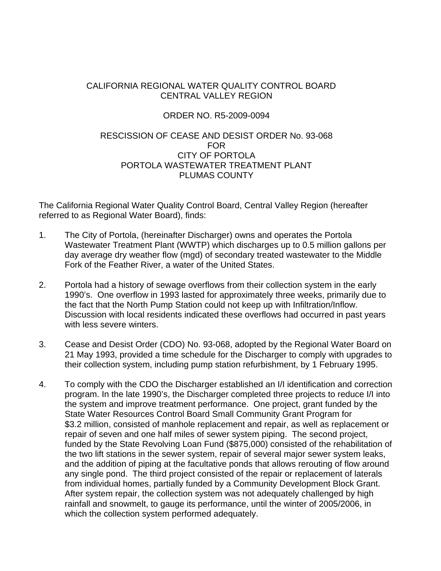## CALIFORNIA REGIONAL WATER QUALITY CONTROL BOARD CENTRAL VALLEY REGION

## ORDER NO. R5-2009-0094

## RESCISSION OF CEASE AND DESIST ORDER No. 93-068 FOR CITY OF PORTOLA PORTOLA WASTEWATER TREATMENT PLANT PLUMAS COUNTY

The California Regional Water Quality Control Board, Central Valley Region (hereafter referred to as Regional Water Board), finds:

- 1. The City of Portola, (hereinafter Discharger) owns and operates the Portola Wastewater Treatment Plant (WWTP) which discharges up to 0.5 million gallons per day average dry weather flow (mgd) of secondary treated wastewater to the Middle Fork of the Feather River, a water of the United States.
- 2. Portola had a history of sewage overflows from their collection system in the early 1990's. One overflow in 1993 lasted for approximately three weeks, primarily due to the fact that the North Pump Station could not keep up with Infiltration/Inflow. Discussion with local residents indicated these overflows had occurred in past years with less severe winters.
- 3. Cease and Desist Order (CDO) No. 93-068, adopted by the Regional Water Board on 21 May 1993, provided a time schedule for the Discharger to comply with upgrades to their collection system, including pump station refurbishment, by 1 February 1995.
- 4. To comply with the CDO the Discharger established an I/I identification and correction program. In the late 1990's, the Discharger completed three projects to reduce I/I into the system and improve treatment performance. One project, grant funded by the State Water Resources Control Board Small Community Grant Program for \$3.2 million, consisted of manhole replacement and repair, as well as replacement or repair of seven and one half miles of sewer system piping. The second project, funded by the State Revolving Loan Fund (\$875,000) consisted of the rehabilitation of the two lift stations in the sewer system, repair of several major sewer system leaks, and the addition of piping at the facultative ponds that allows rerouting of flow around any single pond. The third project consisted of the repair or replacement of laterals from individual homes, partially funded by a Community Development Block Grant. After system repair, the collection system was not adequately challenged by high rainfall and snowmelt, to gauge its performance, until the winter of 2005/2006, in which the collection system performed adequately.